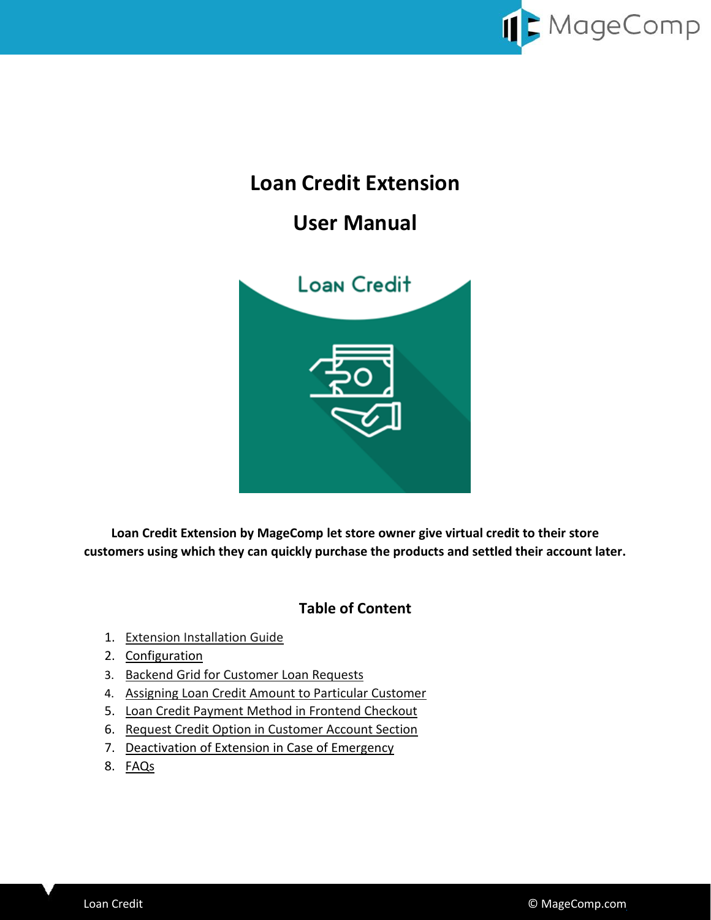

# **Loan Credit Extension**

# **User Manual**



**Loan Credit Extension by MageComp let store owner give virtual credit to their store customers using which they can quickly purchase the products and settled their account later.**

### **Table of Content**

- 1. [Extension Installation Guide](#page-1-0)
- 2. [Configuration](#page-1-1)
- 3. [Backend Grid for Customer Loan Requests](#page-2-0)
- 4. [Assigning Loan Credit Amount to Particular Customer](#page-3-0)
- 5. [Loan Credit Payment Method in Frontend Checkout](#page-4-0)
- 6. [Request Credit Option in Customer Account Section](#page-6-0)
- 7. Deactivation of Extension in Case of Emergency
- 8. [FAQs](#page-7-1)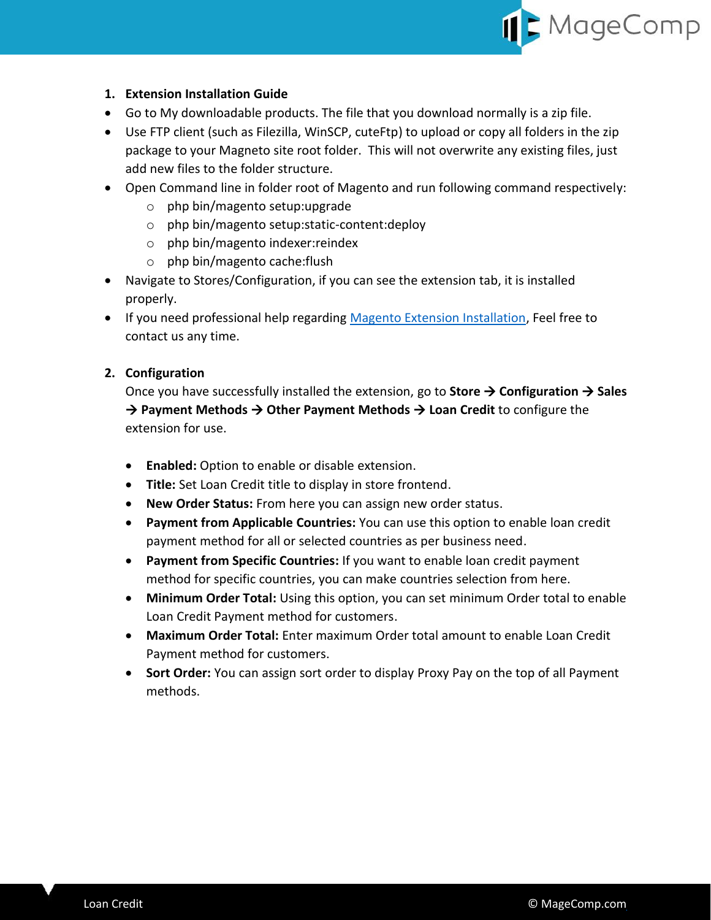

#### <span id="page-1-0"></span>**1. Extension Installation Guide**

- Go to My downloadable products. The file that you download normally is a zip file.
- Use FTP client (such as Filezilla, WinSCP, cuteFtp) to upload or copy all folders in the zip package to your Magneto site root folder. This will not overwrite any existing files, just add new files to the folder structure.
- Open Command line in folder root of Magento and run following command respectively:
	- o php bin/magento setup:upgrade
	- o php bin/magento setup:static-content:deploy
	- o php bin/magento indexer:reindex
	- o php bin/magento cache:flush
- Navigate to Stores/Configuration, if you can see the extension tab, it is installed properly.
- If you need professional help regarding [Magento Extension Installation,](https://magecomp.com/magento-professional-installation.html) Feel free to contact us any time.

#### <span id="page-1-1"></span>**2. Configuration**

Once you have successfully installed the extension, go to **Store Configuration Sales → Payment Methods → Other Payment Methods → Loan Credit** to configure the extension for use.

- **Enabled:** Option to enable or disable extension.
- **Title:** Set Loan Credit title to display in store frontend.
- **New Order Status:** From here you can assign new order status.
- **Payment from Applicable Countries:** You can use this option to enable loan credit payment method for all or selected countries as per business need.
- **Payment from Specific Countries:** If you want to enable loan credit payment method for specific countries, you can make countries selection from here.
- **Minimum Order Total:** Using this option, you can set minimum Order total to enable Loan Credit Payment method for customers.
- **Maximum Order Total:** Enter maximum Order total amount to enable Loan Credit Payment method for customers.
- **Sort Order:** You can assign sort order to display Proxy Pay on the top of all Payment methods.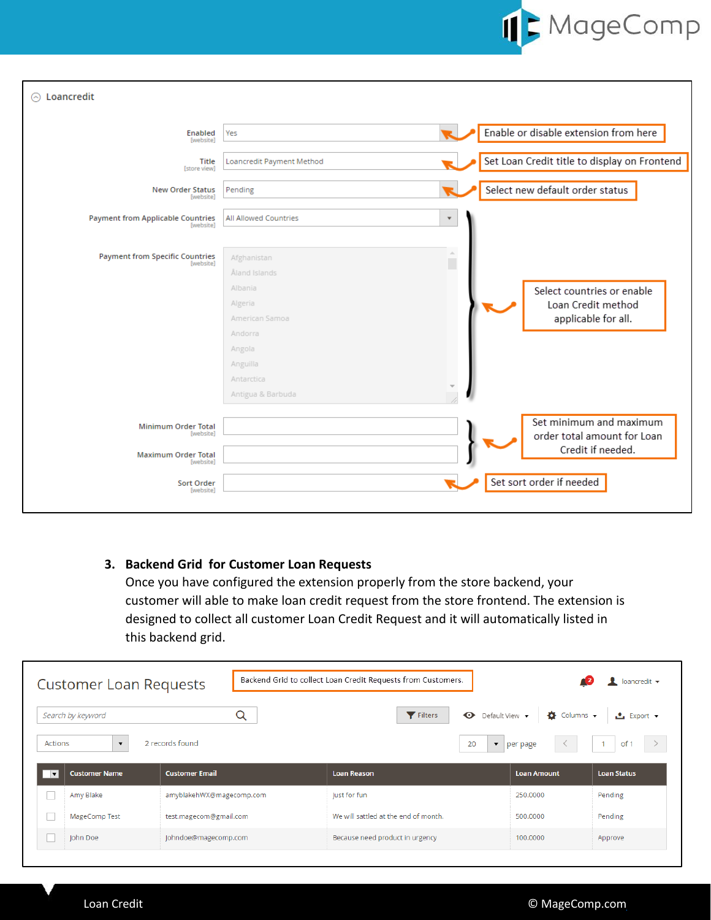

| Loancredit<br>⊝                                                                                               |                                                                                                                                          |                                                                                                         |
|---------------------------------------------------------------------------------------------------------------|------------------------------------------------------------------------------------------------------------------------------------------|---------------------------------------------------------------------------------------------------------|
| Enabled<br><b>Iwebsite1</b>                                                                                   | Yes                                                                                                                                      | Enable or disable extension from here                                                                   |
| <b>Title</b><br>[store view]                                                                                  | Loancredit Payment Method                                                                                                                | Set Loan Credit title to display on Frontend                                                            |
| <b>New Order Status</b><br>[website]                                                                          | Pending                                                                                                                                  | Select new default order status                                                                         |
| <b>Payment from Applicable Countries</b><br>[website]                                                         | <b>All Allowed Countries</b>                                                                                                             | $\boldsymbol{\mathrm{v}}$                                                                               |
| <b>Payment from Specific Countries</b><br>[website]                                                           | Afghanistan<br>Åland Islands<br>Albania<br>Algeria<br>American Samoa<br>Andorra<br>Angola<br>Anguilla<br>Antarctica<br>Antigua & Barbuda | A.<br>П<br>Select countries or enable<br>Loan Credit method<br>applicable for all.                      |
| <b>Minimum Order Total</b><br>[website]<br><b>Maximum Order Total</b><br>[website]<br>Sort Order<br>[website] |                                                                                                                                          | Set minimum and maximum<br>order total amount for Loan<br>Credit if needed.<br>Set sort order if needed |

### <span id="page-2-0"></span>**3. Backend Grid for Customer Loan Requests**

Once you have configured the extension properly from the store backend, your customer will able to make loan credit request from the store frontend. The extension is designed to collect all customer Loan Credit Request and it will automatically listed in this backend grid.

|                          | <b>Customer Loan Requests</b> |                          | Backend Grid to collect Loan Credit Requests from Customers. |                             | loancredit $\blacktriangledown$ |
|--------------------------|-------------------------------|--------------------------|--------------------------------------------------------------|-----------------------------|---------------------------------|
|                          | Search by keyword             | Q                        | $\bullet$ Default View $\bullet$<br>Filters                  | $\bullet$ Columns $\bullet$ | <b>≛</b> Export ▼               |
| Actions                  | $\blacktriangledown$          | 2 records found          | 20                                                           | $\bullet$   per page        | of 1                            |
| $\overline{\phantom{a}}$ | <b>Customer Name</b>          | <b>Customer Email</b>    | <b>Loan Reason</b>                                           | <b>Loan Amount</b>          | <b>Loan Status</b>              |
|                          | Amy Blake                     | amyblakehWX@magecomp.com | Just for fun                                                 | 250,0000                    | Pending                         |
|                          | MageComp Test                 | test.magecom@gmail.com   | We will sattled at the end of month.                         | 500,0000                    | Pending                         |
|                          | John Doe                      | Johndoe@magecomp.com     | Because need product in urgency                              | 100,0000                    | Approve                         |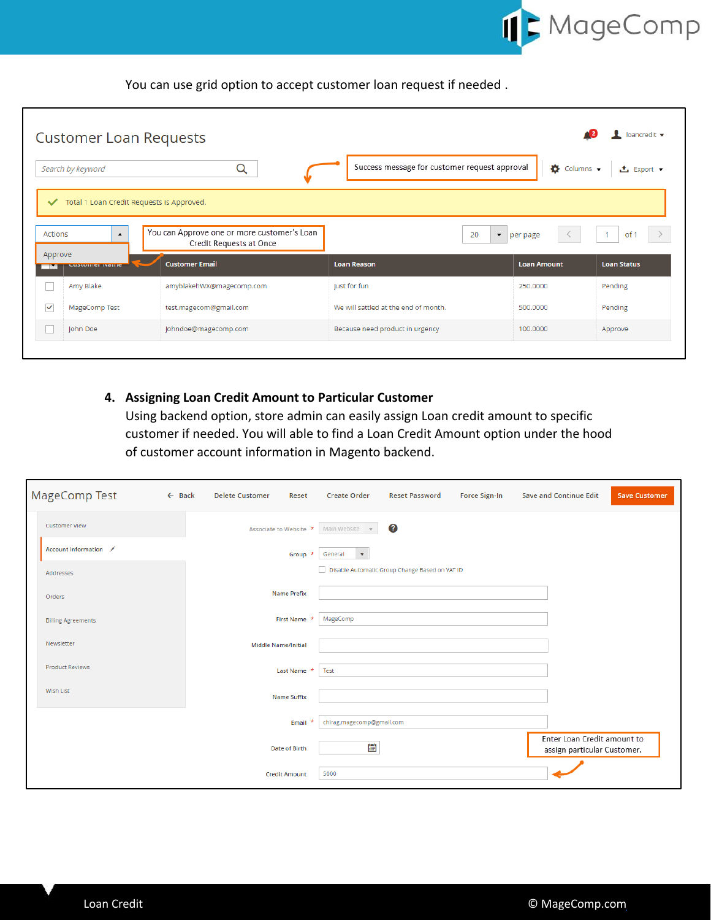

You can use grid option to accept customer loan request if needed .

|              | <b>Customer Loan Requests</b>             |                                                                        |                                               |                                  | loancredit v       |
|--------------|-------------------------------------------|------------------------------------------------------------------------|-----------------------------------------------|----------------------------------|--------------------|
|              | Search by keyword                         | Q                                                                      | Success message for customer request approval | $\bullet$ Columns $\bullet$      | <b>上</b> Export ▼  |
| $\checkmark$ | Total 1 Loan Credit Requests is Approved. |                                                                        |                                               |                                  |                    |
| Actions      | $\blacktriangle$                          | You can Approve one or more customer's Loan<br>Credit Requests at Once | 20                                            | $\blacktriangleright$   per page | of 1               |
| Approve      | CUSCOTION INCHINE                         | <b>Customer Email</b>                                                  | <b>Loan Reason</b>                            | <b>Loan Amount</b>               | <b>Loan Status</b> |
|              | Amy Blake                                 | amyblakehWX@magecomp.com                                               | Just for fun                                  | 250,0000                         | Pending            |
| $\checkmark$ | MageComp Test                             | test.magecom@gmail.com                                                 | We will sattled at the end of month.          | 500,0000                         | Pending            |
|              | John Doe                                  | Johndoe@magecomp.com                                                   | Because need product in urgency               | 100.0000                         | Approve            |
|              |                                           |                                                                        |                                               |                                  |                    |

### <span id="page-3-0"></span>**4. Assigning Loan Credit Amount to Particular Customer**

Using backend option, store admin can easily assign Loan credit amount to specific customer if needed. You will able to find a Loan Credit Amount option under the hood of customer account information in Magento backend.

| <b>MageComp Test</b>      | $\leftarrow$ Back | <b>Delete Customer</b>     | Reset                | <b>Create Order</b>                   | <b>Reset Password</b>                          | Force Sign-In | <b>Save and Continue Edit</b>                              | <b>Save Customer</b> |
|---------------------------|-------------------|----------------------------|----------------------|---------------------------------------|------------------------------------------------|---------------|------------------------------------------------------------|----------------------|
| <b>Customer View</b>      |                   |                            |                      | Associate to Website * Main Website * | Ø                                              |               |                                                            |                      |
| Account Information       |                   |                            | Group $\star$        | General<br>$\mathbf{v}$               |                                                |               |                                                            |                      |
| Addresses                 |                   |                            |                      |                                       | Disable Automatic Group Change Based on VAT ID |               |                                                            |                      |
| Orders                    |                   |                            | <b>Name Prefix</b>   |                                       |                                                |               |                                                            |                      |
| <b>Billing Agreements</b> |                   |                            | First Name *         | MageComp                              |                                                |               |                                                            |                      |
| Newsletter                |                   | <b>Middle Name/Initial</b> |                      |                                       |                                                |               |                                                            |                      |
| <b>Product Reviews</b>    |                   |                            | Last Name *          | Test                                  |                                                |               |                                                            |                      |
| <b>Wish List</b>          |                   |                            | <b>Name Suffix</b>   |                                       |                                                |               |                                                            |                      |
|                           |                   |                            | $\star$<br>Email     | chirag.magecomp@gmail.com             |                                                |               |                                                            |                      |
|                           |                   |                            | <b>Date of Birth</b> | Ë                                     |                                                |               | Enter Loan Credit amount to<br>assign particular Customer. |                      |
|                           |                   |                            | <b>Credit Amount</b> | 5000                                  |                                                |               |                                                            |                      |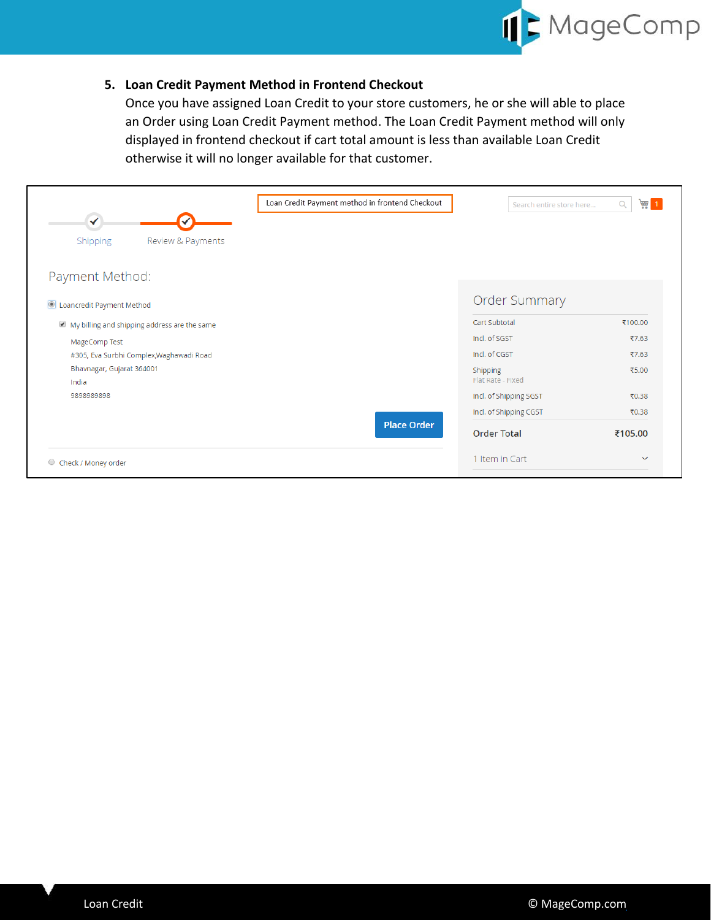

#### <span id="page-4-0"></span>**5. Loan Credit Payment Method in Frontend Checkout**

Once you have assigned Loan Credit to your store customers, he or she will able to place an Order using Loan Credit Payment method. The Loan Credit Payment method will only displayed in frontend checkout if cart total amount is less than available Loan Credit otherwise it will no longer available for that customer.

|                                              | Loan Credit Payment method in frontend Checkout | Search entire store here      | $\overline{m}$ 1<br>Q |
|----------------------------------------------|-------------------------------------------------|-------------------------------|-----------------------|
| ✓<br>Shipping<br>Review & Payments           |                                                 |                               |                       |
| Payment Method:                              |                                                 |                               |                       |
| <b>O</b> Loancredit Payment Method           |                                                 | <b>Order Summary</b>          |                       |
| My billing and shipping address are the same |                                                 | Cart Subtotal                 | ₹100.00               |
| MageComp Test                                |                                                 | Incl. of SGST                 | ₹7.63                 |
| #305, Eva Surbhi Complex, Waghawadi Road     |                                                 | Incl. of CGST                 | ₹7.63                 |
| Bhavnagar, Gujarat 364001<br>India           |                                                 | Shipping<br>Flat Rate - Fixed | ₹5.00                 |
| 9898989898                                   |                                                 | Incl. of Shipping SGST        | ₹0.38                 |
|                                              |                                                 | Incl. of Shipping CGST        | ₹0.38                 |
|                                              | <b>Place Order</b>                              | <b>Order Total</b>            | ₹105.00               |
| Check / Money order<br>$\circ$               |                                                 | 1 Item in Cart                | $\checkmark$          |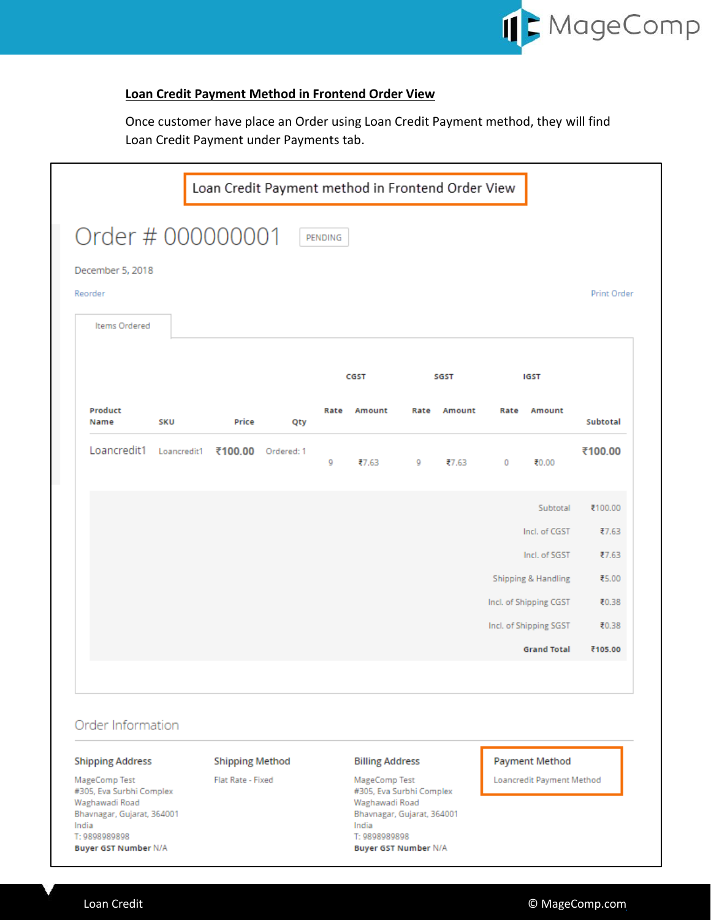

#### **Loan Credit Payment Method in Frontend Order View**

Once customer have place an Order using Loan Credit Payment method, they will find Loan Credit Payment under Payments tab.

| Order # 000000001                                                                                                             |            |                                             |            | PENDING |                                                                                                                              |   |             |         |                                                    |                    |
|-------------------------------------------------------------------------------------------------------------------------------|------------|---------------------------------------------|------------|---------|------------------------------------------------------------------------------------------------------------------------------|---|-------------|---------|----------------------------------------------------|--------------------|
| December 5, 2018<br>Reorder                                                                                                   |            |                                             |            |         |                                                                                                                              |   |             |         |                                                    | <b>Print Order</b> |
| <b>Items Ordered</b>                                                                                                          |            |                                             |            |         |                                                                                                                              |   |             |         |                                                    |                    |
|                                                                                                                               |            |                                             |            |         | CGST                                                                                                                         |   | SGST        |         | <b>IGST</b>                                        |                    |
| Product<br>Name                                                                                                               | <b>SKU</b> | Price                                       | Qty        | Rate    | Amount                                                                                                                       |   | Rate Amount | Rate    | Amount                                             | Subtotal           |
| Loancredit1 Loancredit1                                                                                                       |            | ₹100.00                                     | Ordered: 1 | 9       | ₹7.63                                                                                                                        | 9 | ₹7.63       | $\circ$ | ₹0.00                                              | ₹100.00            |
|                                                                                                                               |            |                                             |            |         |                                                                                                                              |   |             |         | Subtotal                                           | ₹100.00            |
|                                                                                                                               |            |                                             |            |         |                                                                                                                              |   |             |         | Incl. of CGST                                      | ₹7.63              |
|                                                                                                                               |            |                                             |            |         |                                                                                                                              |   |             |         | Incl. of SGST                                      | ₹7.63              |
|                                                                                                                               |            |                                             |            |         |                                                                                                                              |   |             |         | Shipping & Handling                                | ₹5.00              |
|                                                                                                                               |            |                                             |            |         |                                                                                                                              |   |             |         | Incl. of Shipping CGST                             | ₹0.38              |
|                                                                                                                               |            |                                             |            |         |                                                                                                                              |   |             |         | Incl. of Shipping SGST                             | ₹0.38              |
|                                                                                                                               |            |                                             |            |         |                                                                                                                              |   |             |         | <b>Grand Total</b>                                 | ₹105.00            |
| Order Information                                                                                                             |            |                                             |            |         |                                                                                                                              |   |             |         |                                                    |                    |
| <b>Shipping Address</b><br>MageComp Test<br>#305, Eva Surbhi Complex<br>Waghawadi Road<br>Bhavnagar, Gujarat, 364001<br>India |            | <b>Shipping Method</b><br>Flat Rate - Fixed |            |         | <b>Billing Address</b><br>MageComp Test<br>#305, Eva Surbhi Complex<br>Waghawadi Road<br>Bhavnagar, Gujarat, 364001<br>India |   |             |         | <b>Payment Method</b><br>Loancredit Payment Method |                    |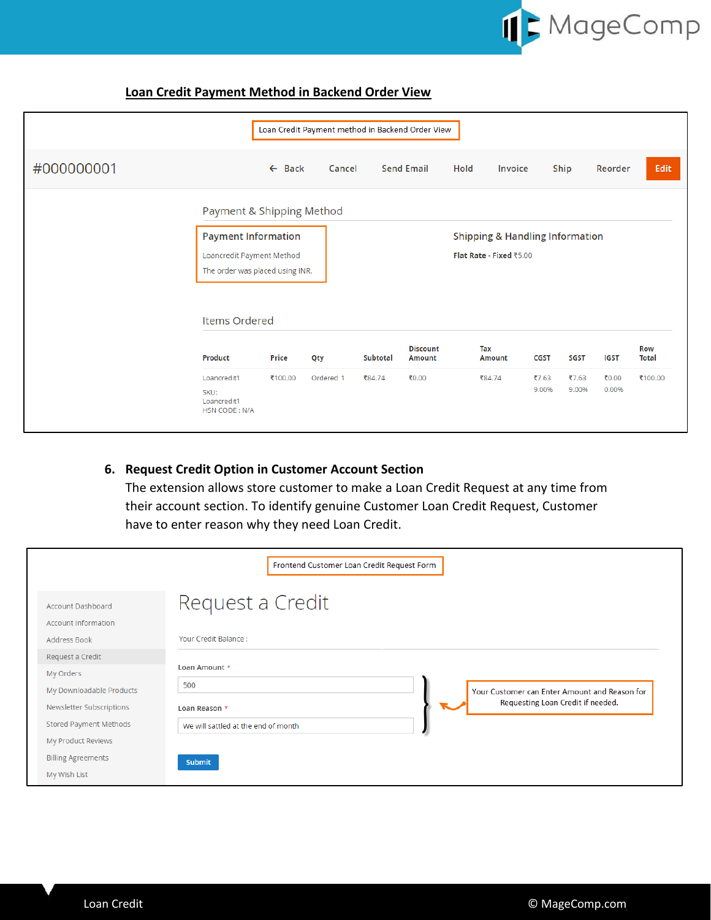

#### **Loan Credit Payment Method in Backend Order View**

|            |                                 |                   | Loan Credit Payment method in Backend Order View |                         |                   |      |                                            |             |             |         |              |
|------------|---------------------------------|-------------------|--------------------------------------------------|-------------------------|-------------------|------|--------------------------------------------|-------------|-------------|---------|--------------|
| #000000001 |                                 | $\leftarrow$ Back | Cancel                                           |                         | <b>Send Email</b> | Hold | Invoice                                    |             | Ship        | Reorder | Edit         |
|            | Payment & Shipping Method       |                   |                                                  |                         |                   |      |                                            |             |             |         |              |
|            | <b>Payment Information</b>      |                   |                                                  |                         |                   |      | <b>Shipping &amp; Handling Information</b> |             |             |         |              |
|            | Loancredit Payment Method       |                   |                                                  | Flat Rate - Fixed ₹5.00 |                   |      |                                            |             |             |         |              |
|            | The order was placed using INR. |                   |                                                  |                         |                   |      |                                            |             |             |         |              |
|            |                                 |                   |                                                  |                         |                   |      |                                            |             |             |         |              |
|            | Items Ordered                   |                   |                                                  |                         |                   |      |                                            |             |             |         |              |
|            |                                 |                   |                                                  |                         | <b>Discount</b>   | Tax  |                                            |             |             |         | <b>Row</b>   |
|            | <b>Product</b>                  | <b>Price</b>      | Qty                                              | <b>Subtotal</b>         | <b>Amount</b>     |      | <b>Amount</b>                              | <b>CGST</b> | <b>SGST</b> | IGST    | <b>Total</b> |
|            | Loancredit1                     | ₹100.00           | Ordered 1                                        | ₹84.74                  | ₹0.00             |      | ₹84.74                                     | ₹7.63       | ₹7.63       | ₹0.00   | ₹100.00      |
|            | SKU:<br>Loancredit1             |                   |                                                  |                         |                   |      |                                            | 9.00%       | 9.00%       | 0.00%   |              |
|            | <b>HSN CODE: N/A</b>            |                   |                                                  |                         |                   |      |                                            |             |             |         |              |

#### <span id="page-6-0"></span>**6. Request Credit Option in Customer Account Section**

The extension allows store customer to make a Loan Credit Request at any time from their account section. To identify genuine Customer Loan Credit Request, Customer have to enter reason why they need Loan Credit.

|                                                                                                                                       | Frontend Customer Loan Credit Request Form                                                                                                                         |
|---------------------------------------------------------------------------------------------------------------------------------------|--------------------------------------------------------------------------------------------------------------------------------------------------------------------|
| <b>Account Dashboard</b><br><b>Account Information</b>                                                                                | Request a Credit                                                                                                                                                   |
| Address Book                                                                                                                          | Your Credit Balance:                                                                                                                                               |
| Request a Credit<br>My Orders<br>My Downloadable Products<br>Newsletter Subscriptions<br>Stored Payment Methods<br>My Product Reviews | Loan Amount *<br>500<br>Your Customer can Enter Amount and Reason for<br>Requesting Loan Credit if needed.<br>Loan Reason *<br>We will sattled at the end of month |
| <b>Billing Agreements</b><br>My Wish List                                                                                             | Submit                                                                                                                                                             |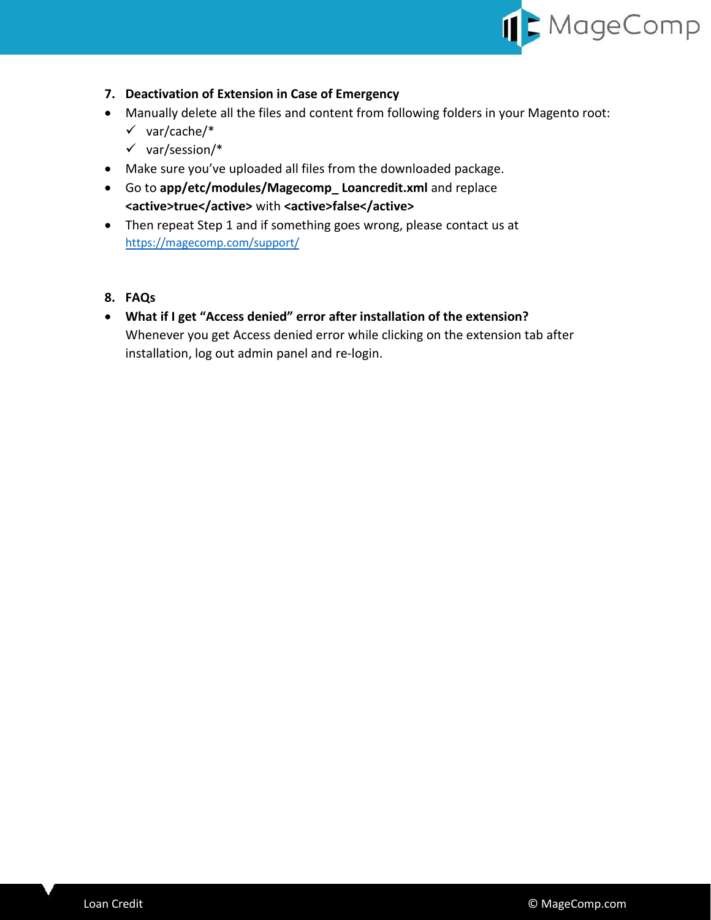

- <span id="page-7-0"></span>**7. Deactivation of Extension in Case of Emergency**
- Manually delete all the files and content from following folders in your Magento root:
	- $\checkmark$  var/cache/\*
	- $\checkmark$  var/session/\*
- Make sure you've uploaded all files from the downloaded package.
- Go to **app/etc/modules/Magecomp\_ Loancredit.xml** and replace **<active>true</active>** with **<active>false</active>**
- Then repeat Step 1 and if something goes wrong, please contact us at <https://magecomp.com/support/>
- <span id="page-7-1"></span>**8. FAQs**
- **What if I get "Access denied" error after installation of the extension?** Whenever you get Access denied error while clicking on the extension tab after installation, log out admin panel and re-login.